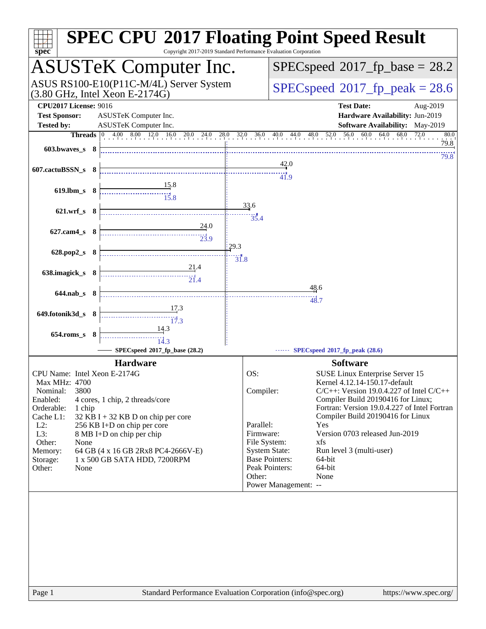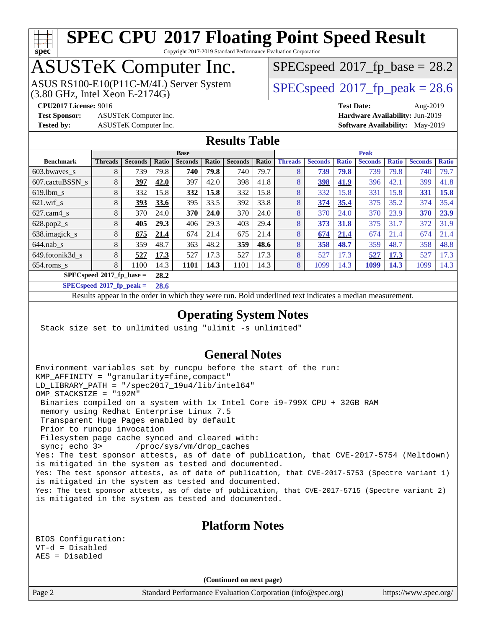# **[spec](http://www.spec.org/)**

# **[SPEC CPU](http://www.spec.org/auto/cpu2017/Docs/result-fields.html#SPECCPU2017FloatingPointSpeedResult)[2017 Floating Point Speed Result](http://www.spec.org/auto/cpu2017/Docs/result-fields.html#SPECCPU2017FloatingPointSpeedResult)**

Copyright 2017-2019 Standard Performance Evaluation Corporation

## ASUSTeK Computer Inc.

(3.80 GHz, Intel Xeon E-2174G) ASUS RS100-E10(P11C-M/4L) Server System  $SPECspeed@2017$  $SPECspeed@2017$  fp\_peak = 28.6

 $SPECspeed*2017_fp\_base = 28.2$  $SPECspeed*2017_fp\_base = 28.2$ 

**[Test Sponsor:](http://www.spec.org/auto/cpu2017/Docs/result-fields.html#TestSponsor)** ASUSTeK Computer Inc. **[Hardware Availability:](http://www.spec.org/auto/cpu2017/Docs/result-fields.html#HardwareAvailability)** Jun-2019

**[CPU2017 License:](http://www.spec.org/auto/cpu2017/Docs/result-fields.html#CPU2017License)** 9016 **[Test Date:](http://www.spec.org/auto/cpu2017/Docs/result-fields.html#TestDate)** Aug-2019 **[Tested by:](http://www.spec.org/auto/cpu2017/Docs/result-fields.html#Testedby)** ASUSTeK Computer Inc. **[Software Availability:](http://www.spec.org/auto/cpu2017/Docs/result-fields.html#SoftwareAvailability)** May-2019

#### **[Results Table](http://www.spec.org/auto/cpu2017/Docs/result-fields.html#ResultsTable)**

|                                     | <b>Base</b>    |                |       |                |       |                | <b>Peak</b> |                |                |              |                |              |                |              |
|-------------------------------------|----------------|----------------|-------|----------------|-------|----------------|-------------|----------------|----------------|--------------|----------------|--------------|----------------|--------------|
| <b>Benchmark</b>                    | <b>Threads</b> | <b>Seconds</b> | Ratio | <b>Seconds</b> | Ratio | <b>Seconds</b> | Ratio       | <b>Threads</b> | <b>Seconds</b> | <b>Ratio</b> | <b>Seconds</b> | <b>Ratio</b> | <b>Seconds</b> | <b>Ratio</b> |
| $603.bwaves$ s                      | 8              | 739            | 79.8  | 740            | 79.8  | 740            | 79.7        | 8              | 739            | 79.8         | 739            | 79.8         | 740            | 79.7         |
| 607.cactuBSSN s                     | 8              | 397            | 42.0  | 397            | 42.0  | 398            | 41.8        | 8              | 398            | 41.9         | 396            | 42.1         | 399            | 41.8         |
| $619$ .lbm s                        | 8              | 332            | 15.8  | 332            | 15.8  | 332            | 15.8        | 8              | 332            | 15.8         | 331            | 15.8         | 331            | 15.8         |
| $621$ .wrf s                        | 8              | 393            | 33.6  | 395            | 33.5  | 392            | 33.8        | 8              | 374            | 35.4         | 375            | 35.2         | 374            | 35.4         |
| $627$ .cam4 s                       | 8              | 370            | 24.0  | 370            | 24.0  | 370            | 24.0        | 8              | 370            | 24.0         | 370            | 23.9         | 370            | 23.9         |
| $628.pop2_s$                        | 8              | 405            | 29.3  | 406            | 29.3  | 403            | 29.4        | 8              | 373            | 31.8         | 375            | 31.7         | 372            | 31.9         |
| 638.imagick_s                       | 8              | 675            | 21.4  | 674            | 21.4  | 675            | 21.4        | 8              | 674            | 21.4         | 674            | 21.4         | 674            | 21.4         |
| $644$ .nab s                        | 8              | 359            | 48.7  | 363            | 48.2  | 359            | 48.6        | 8              | 358            | 48.7         | 359            | 48.7         | 358            | 48.8         |
| 649.fotonik3d s                     | 8              | 527            | 17.3  | 527            | 17.3  | 527            | 17.3        | 8              | 527            | 17.3         | 527            | 17.3         | 527            | 17.3         |
| $654$ .roms_s                       | 8              | 1100           | 14.3  | 1101           | 14.3  | 1101           | 14.3        | 8              | 1099           | 14.3         | 1099           | 14.3         | 1099           | 14.3         |
| $SPECspeed*2017_fp\_base =$<br>28.2 |                |                |       |                |       |                |             |                |                |              |                |              |                |              |

**[SPECspeed](http://www.spec.org/auto/cpu2017/Docs/result-fields.html#SPECspeed2017fppeak)[2017\\_fp\\_peak =](http://www.spec.org/auto/cpu2017/Docs/result-fields.html#SPECspeed2017fppeak) 28.6**

Results appear in the [order in which they were run.](http://www.spec.org/auto/cpu2017/Docs/result-fields.html#RunOrder) Bold underlined text [indicates a median measurement.](http://www.spec.org/auto/cpu2017/Docs/result-fields.html#Median)

#### **[Operating System Notes](http://www.spec.org/auto/cpu2017/Docs/result-fields.html#OperatingSystemNotes)**

Stack size set to unlimited using "ulimit -s unlimited"

#### **[General Notes](http://www.spec.org/auto/cpu2017/Docs/result-fields.html#GeneralNotes)**

Environment variables set by runcpu before the start of the run: KMP\_AFFINITY = "granularity=fine,compact" LD\_LIBRARY\_PATH = "/spec2017\_19u4/lib/intel64" OMP\_STACKSIZE = "192M" Binaries compiled on a system with 1x Intel Core i9-799X CPU + 32GB RAM memory using Redhat Enterprise Linux 7.5 Transparent Huge Pages enabled by default Prior to runcpu invocation Filesystem page cache synced and cleared with: sync; echo 3> /proc/sys/vm/drop\_caches Yes: The test sponsor attests, as of date of publication, that CVE-2017-5754 (Meltdown) is mitigated in the system as tested and documented. Yes: The test sponsor attests, as of date of publication, that CVE-2017-5753 (Spectre variant 1) is mitigated in the system as tested and documented. Yes: The test sponsor attests, as of date of publication, that CVE-2017-5715 (Spectre variant 2) is mitigated in the system as tested and documented.

BIOS Configuration: VT-d = Disabled AES = Disabled

**(Continued on next page)**

**[Platform Notes](http://www.spec.org/auto/cpu2017/Docs/result-fields.html#PlatformNotes)**

Page 2 Standard Performance Evaluation Corporation [\(info@spec.org\)](mailto:info@spec.org) <https://www.spec.org/>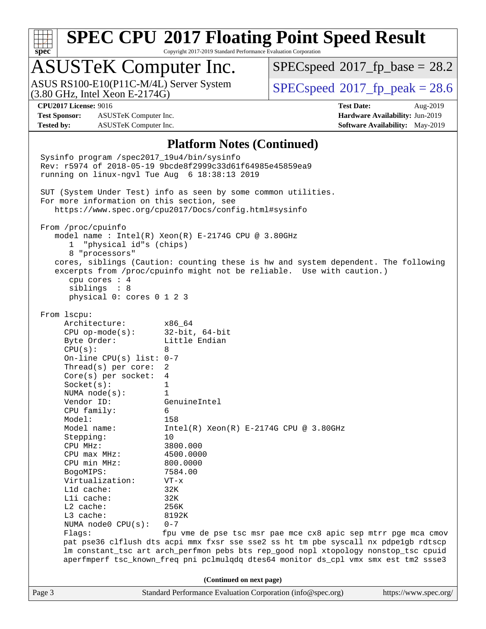

Copyright 2017-2019 Standard Performance Evaluation Corporation

## ASUSTeK Computer Inc.

(3.80 GHz, Intel Xeon E-2174G) ASUS RS100-E10(P11C-M/4L) Server System  $SPECspeed@2017$  $SPECspeed@2017$  fp\_peak = 28.6

 $SPECspeed^{\circledcirc}2017$  $SPECspeed^{\circledcirc}2017$  fp base = 28.2

**[Test Sponsor:](http://www.spec.org/auto/cpu2017/Docs/result-fields.html#TestSponsor)** ASUSTeK Computer Inc. **[Hardware Availability:](http://www.spec.org/auto/cpu2017/Docs/result-fields.html#HardwareAvailability)** Jun-2019 **[Tested by:](http://www.spec.org/auto/cpu2017/Docs/result-fields.html#Testedby)** ASUSTeK Computer Inc. **[Software Availability:](http://www.spec.org/auto/cpu2017/Docs/result-fields.html#SoftwareAvailability)** May-2019

**[CPU2017 License:](http://www.spec.org/auto/cpu2017/Docs/result-fields.html#CPU2017License)** 9016 **[Test Date:](http://www.spec.org/auto/cpu2017/Docs/result-fields.html#TestDate)** Aug-2019

#### **[Platform Notes \(Continued\)](http://www.spec.org/auto/cpu2017/Docs/result-fields.html#PlatformNotes)**

Page 3 Standard Performance Evaluation Corporation [\(info@spec.org\)](mailto:info@spec.org) <https://www.spec.org/> Sysinfo program /spec2017\_19u4/bin/sysinfo Rev: r5974 of 2018-05-19 9bcde8f2999c33d61f64985e45859ea9 running on linux-ngvl Tue Aug 6 18:38:13 2019 SUT (System Under Test) info as seen by some common utilities. For more information on this section, see <https://www.spec.org/cpu2017/Docs/config.html#sysinfo> From /proc/cpuinfo model name : Intel(R) Xeon(R) E-2174G CPU @ 3.80GHz 1 "physical id"s (chips) 8 "processors" cores, siblings (Caution: counting these is hw and system dependent. The following excerpts from /proc/cpuinfo might not be reliable. Use with caution.) cpu cores : 4 siblings : 8 physical 0: cores 0 1 2 3 From lscpu: Architecture: x86\_64 CPU op-mode(s): 32-bit, 64-bit Byte Order: Little Endian  $CPU(s):$  8 On-line CPU(s) list: 0-7 Thread(s) per core: 2 Core(s) per socket: 4 Socket(s): 1 NUMA node(s): 1 Vendor ID: GenuineIntel CPU family: 6 Model: 158 Model name: Intel(R) Xeon(R) E-2174G CPU @ 3.80GHz Stepping: 10 CPU MHz: 3800.000 CPU max MHz: 4500.0000 CPU min MHz: 800.0000 BogoMIPS: 7584.00 Virtualization: VT-x L1d cache: 32K L1i cache: 32K L2 cache: 256K L3 cache: 8192K NUMA node0 CPU(s): 0-7 Flags: fpu vme de pse tsc msr pae mce cx8 apic sep mtrr pge mca cmov pat pse36 clflush dts acpi mmx fxsr sse sse2 ss ht tm pbe syscall nx pdpe1gb rdtscp lm constant\_tsc art arch\_perfmon pebs bts rep\_good nopl xtopology nonstop\_tsc cpuid aperfmperf tsc\_known\_freq pni pclmulqdq dtes64 monitor ds\_cpl vmx smx est tm2 ssse3 **(Continued on next page)**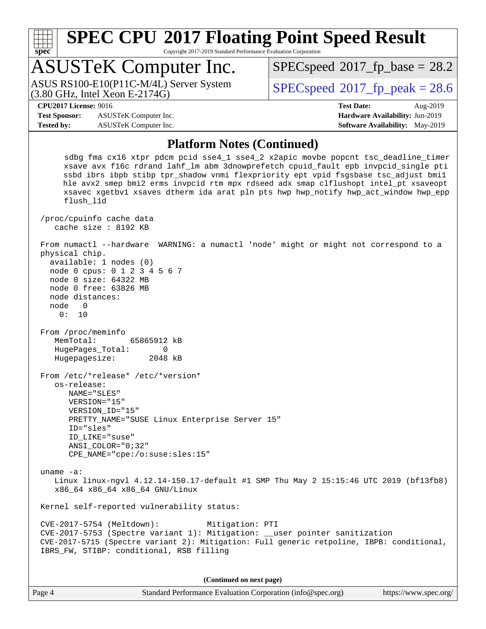

Copyright 2017-2019 Standard Performance Evaluation Corporation

## ASUSTeK Computer Inc.

(3.80 GHz, Intel Xeon E-2174G) ASUS RS100-E10(P11C-M/4L) Server System  $SPECspeed@2017$  $SPECspeed@2017$  fp\_peak = 28.6

 $SPECspeed*2017_fp\_base = 28.2$  $SPECspeed*2017_fp\_base = 28.2$ 

**[Test Sponsor:](http://www.spec.org/auto/cpu2017/Docs/result-fields.html#TestSponsor)** ASUSTeK Computer Inc. **[Hardware Availability:](http://www.spec.org/auto/cpu2017/Docs/result-fields.html#HardwareAvailability)** Jun-2019 **[Tested by:](http://www.spec.org/auto/cpu2017/Docs/result-fields.html#Testedby)** ASUSTeK Computer Inc. **[Software Availability:](http://www.spec.org/auto/cpu2017/Docs/result-fields.html#SoftwareAvailability)** May-2019

**[CPU2017 License:](http://www.spec.org/auto/cpu2017/Docs/result-fields.html#CPU2017License)** 9016 **[Test Date:](http://www.spec.org/auto/cpu2017/Docs/result-fields.html#TestDate)** Aug-2019

#### **[Platform Notes \(Continued\)](http://www.spec.org/auto/cpu2017/Docs/result-fields.html#PlatformNotes)**

 sdbg fma cx16 xtpr pdcm pcid sse4\_1 sse4\_2 x2apic movbe popcnt tsc\_deadline\_timer xsave avx f16c rdrand lahf\_lm abm 3dnowprefetch cpuid\_fault epb invpcid\_single pti ssbd ibrs ibpb stibp tpr\_shadow vnmi flexpriority ept vpid fsgsbase tsc\_adjust bmi1 hle avx2 smep bmi2 erms invpcid rtm mpx rdseed adx smap clflushopt intel\_pt xsaveopt xsavec xgetbv1 xsaves dtherm ida arat pln pts hwp hwp\_notify hwp\_act\_window hwp\_epp flush\_l1d /proc/cpuinfo cache data cache size : 8192 KB From numactl --hardware WARNING: a numactl 'node' might or might not correspond to a physical chip. available: 1 nodes (0) node 0 cpus: 0 1 2 3 4 5 6 7 node 0 size: 64322 MB node 0 free: 63826 MB node distances: node 0 0: 10 From /proc/meminfo MemTotal: 65865912 kB HugePages\_Total: 0 Hugepagesize: 2048 kB From /etc/\*release\* /etc/\*version\* os-release: NAME="SLES" VERSION="15" VERSION\_ID="15" PRETTY\_NAME="SUSE Linux Enterprise Server 15" ID="sles" ID\_LIKE="suse" ANSI\_COLOR="0;32" CPE\_NAME="cpe:/o:suse:sles:15" uname -a: Linux linux-ngvl 4.12.14-150.17-default #1 SMP Thu May 2 15:15:46 UTC 2019 (bf13fb8) x86\_64 x86\_64 x86\_64 GNU/Linux Kernel self-reported vulnerability status: CVE-2017-5754 (Meltdown): Mitigation: PTI CVE-2017-5753 (Spectre variant 1): Mitigation: \_\_user pointer sanitization CVE-2017-5715 (Spectre variant 2): Mitigation: Full generic retpoline, IBPB: conditional, IBRS\_FW, STIBP: conditional, RSB filling

**(Continued on next page)**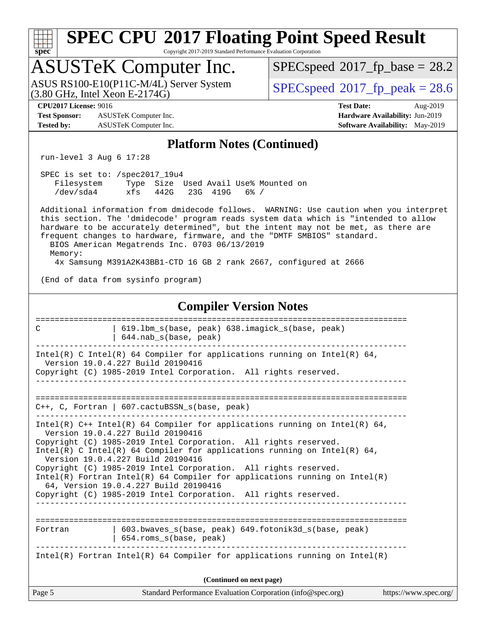# **[spec](http://www.spec.org/)**

## **[SPEC CPU](http://www.spec.org/auto/cpu2017/Docs/result-fields.html#SPECCPU2017FloatingPointSpeedResult)[2017 Floating Point Speed Result](http://www.spec.org/auto/cpu2017/Docs/result-fields.html#SPECCPU2017FloatingPointSpeedResult)**

Copyright 2017-2019 Standard Performance Evaluation Corporation

### ASUSTeK Computer Inc.

(3.80 GHz, Intel Xeon E-2174G) ASUS RS100-E10(P11C-M/4L) Server System  $\big|$  [SPECspeed](http://www.spec.org/auto/cpu2017/Docs/result-fields.html#SPECspeed2017fppeak)®[2017\\_fp\\_peak = 2](http://www.spec.org/auto/cpu2017/Docs/result-fields.html#SPECspeed2017fppeak)8.6

 $SPECspeed*2017_fp\_base = 28.2$  $SPECspeed*2017_fp\_base = 28.2$ 

**[Test Sponsor:](http://www.spec.org/auto/cpu2017/Docs/result-fields.html#TestSponsor)** ASUSTeK Computer Inc. **[Hardware Availability:](http://www.spec.org/auto/cpu2017/Docs/result-fields.html#HardwareAvailability)** Jun-2019 **[Tested by:](http://www.spec.org/auto/cpu2017/Docs/result-fields.html#Testedby)** ASUSTeK Computer Inc. **[Software Availability:](http://www.spec.org/auto/cpu2017/Docs/result-fields.html#SoftwareAvailability)** May-2019

**[CPU2017 License:](http://www.spec.org/auto/cpu2017/Docs/result-fields.html#CPU2017License)** 9016 **[Test Date:](http://www.spec.org/auto/cpu2017/Docs/result-fields.html#TestDate)** Aug-2019

#### **[Platform Notes \(Continued\)](http://www.spec.org/auto/cpu2017/Docs/result-fields.html#PlatformNotes)**

run-level 3 Aug 6 17:28

| SPEC is set to: /spec2017 19u4 |     |  |                   |                                      |  |
|--------------------------------|-----|--|-------------------|--------------------------------------|--|
| Filesystem                     |     |  |                   | Type Size Used Avail Use% Mounted on |  |
| /dev/sda4                      | xfs |  | 442G 23G 419G 6%/ |                                      |  |

 Additional information from dmidecode follows. WARNING: Use caution when you interpret this section. The 'dmidecode' program reads system data which is "intended to allow hardware to be accurately determined", but the intent may not be met, as there are frequent changes to hardware, firmware, and the "DMTF SMBIOS" standard. BIOS American Megatrends Inc. 0703 06/13/2019 Memory:

4x Samsung M391A2K43BB1-CTD 16 GB 2 rank 2667, configured at 2666

(End of data from sysinfo program)

#### **[Compiler Version Notes](http://www.spec.org/auto/cpu2017/Docs/result-fields.html#CompilerVersionNotes)**

| 619.1bm s(base, peak) 638.imagick s(base, peak)<br>C<br>$644$ .nab $s$ (base, peak)                                                                                                                                                                              |
|------------------------------------------------------------------------------------------------------------------------------------------------------------------------------------------------------------------------------------------------------------------|
| Intel(R) C Intel(R) 64 Compiler for applications running on Intel(R) 64,<br>Version 19.0.4.227 Build 20190416                                                                                                                                                    |
| Copyright (C) 1985-2019 Intel Corporation. All rights reserved.                                                                                                                                                                                                  |
| $C_{++}$ , C, Fortran   607.cactuBSSN s(base, peak)                                                                                                                                                                                                              |
| Intel(R) $C++$ Intel(R) 64 Compiler for applications running on Intel(R) 64,<br>Version 19.0.4.227 Build 20190416<br>Copyright (C) 1985-2019 Intel Corporation. All rights reserved.<br>Intel(R) C Intel(R) 64 Compiler for applications running on Intel(R) 64, |
| Version 19.0.4.227 Build 20190416<br>Copyright (C) 1985-2019 Intel Corporation. All rights reserved.                                                                                                                                                             |
| Intel(R) Fortran Intel(R) 64 Compiler for applications running on Intel(R)<br>64, Version 19.0.4.227 Build 20190416                                                                                                                                              |
| Copyright (C) 1985-2019 Intel Corporation. All rights reserved.                                                                                                                                                                                                  |
|                                                                                                                                                                                                                                                                  |
| $603.bwaves$ s(base, peak) $649.fotonik3d$ s(base, peak)<br>Fortran<br>654.roms_s(base, peak)                                                                                                                                                                    |
| Intel(R) Fortran Intel(R) 64 Compiler for applications running on Intel(R)                                                                                                                                                                                       |
| (Continued on next page)                                                                                                                                                                                                                                         |
| Page 5<br>Standard Performance Evaluation Corporation (info@spec.org)<br>https://www.spec.org/                                                                                                                                                                   |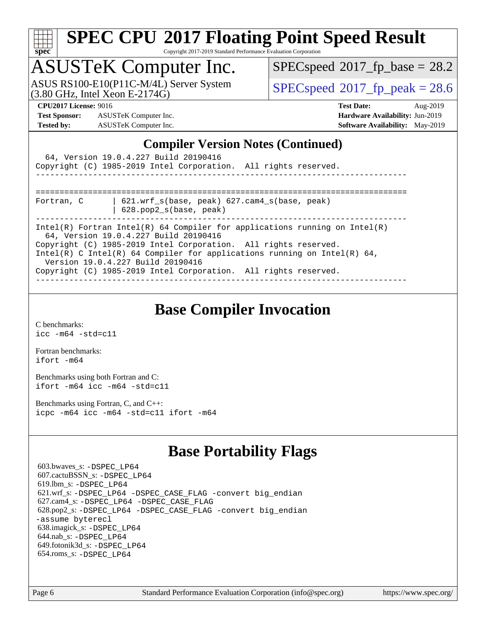

Copyright 2017-2019 Standard Performance Evaluation Corporation

## ASUSTeK Computer Inc.

 $(3.80 \text{ GHz}, \text{Intel Xeon E-2174G})$ ASUS RS100-E10(P11C-M/4L) Server System  $SPECspeed@2017$  $SPECspeed@2017$  fp\_peak = 28.6

 $SPECspeed*2017_fp\_base = 28.2$  $SPECspeed*2017_fp\_base = 28.2$ 

**[Test Sponsor:](http://www.spec.org/auto/cpu2017/Docs/result-fields.html#TestSponsor)** ASUSTeK Computer Inc. **[Hardware Availability:](http://www.spec.org/auto/cpu2017/Docs/result-fields.html#HardwareAvailability)** Jun-2019 **[Tested by:](http://www.spec.org/auto/cpu2017/Docs/result-fields.html#Testedby)** ASUSTeK Computer Inc. **[Software Availability:](http://www.spec.org/auto/cpu2017/Docs/result-fields.html#SoftwareAvailability)** May-2019

**[CPU2017 License:](http://www.spec.org/auto/cpu2017/Docs/result-fields.html#CPU2017License)** 9016 **[Test Date:](http://www.spec.org/auto/cpu2017/Docs/result-fields.html#TestDate)** Aug-2019

#### **[Compiler Version Notes \(Continued\)](http://www.spec.org/auto/cpu2017/Docs/result-fields.html#CompilerVersionNotes)**

| 64, Version 19.0.4.227 Build 20190416<br>Copyright (C) 1985-2019 Intel Corporation. All rights reserved.                                                                                                                                                                                                                                                                   |  |
|----------------------------------------------------------------------------------------------------------------------------------------------------------------------------------------------------------------------------------------------------------------------------------------------------------------------------------------------------------------------------|--|
| $621.wrf$ s(base, peak) $627.cam4$ s(base, peak)<br>Fortran, C<br>$628.$ pop $2_s(base, peak)$                                                                                                                                                                                                                                                                             |  |
| Intel(R) Fortran Intel(R) 64 Compiler for applications running on Intel(R)<br>64, Version 19.0.4.227 Build 20190416<br>Copyright (C) 1985-2019 Intel Corporation. All rights reserved.<br>Intel(R) C Intel(R) 64 Compiler for applications running on Intel(R) 64,<br>Version 19.0.4.227 Build 20190416<br>Copyright (C) 1985-2019 Intel Corporation. All rights reserved. |  |

### **[Base Compiler Invocation](http://www.spec.org/auto/cpu2017/Docs/result-fields.html#BaseCompilerInvocation)**

[C benchmarks](http://www.spec.org/auto/cpu2017/Docs/result-fields.html#Cbenchmarks): [icc -m64 -std=c11](http://www.spec.org/cpu2017/results/res2019q3/cpu2017-20190826-17258.flags.html#user_CCbase_intel_icc_64bit_c11_33ee0cdaae7deeeab2a9725423ba97205ce30f63b9926c2519791662299b76a0318f32ddfffdc46587804de3178b4f9328c46fa7c2b0cd779d7a61945c91cd35)

[Fortran benchmarks](http://www.spec.org/auto/cpu2017/Docs/result-fields.html#Fortranbenchmarks): [ifort -m64](http://www.spec.org/cpu2017/results/res2019q3/cpu2017-20190826-17258.flags.html#user_FCbase_intel_ifort_64bit_24f2bb282fbaeffd6157abe4f878425411749daecae9a33200eee2bee2fe76f3b89351d69a8130dd5949958ce389cf37ff59a95e7a40d588e8d3a57e0c3fd751)

[Benchmarks using both Fortran and C](http://www.spec.org/auto/cpu2017/Docs/result-fields.html#BenchmarksusingbothFortranandC): [ifort -m64](http://www.spec.org/cpu2017/results/res2019q3/cpu2017-20190826-17258.flags.html#user_CC_FCbase_intel_ifort_64bit_24f2bb282fbaeffd6157abe4f878425411749daecae9a33200eee2bee2fe76f3b89351d69a8130dd5949958ce389cf37ff59a95e7a40d588e8d3a57e0c3fd751) [icc -m64 -std=c11](http://www.spec.org/cpu2017/results/res2019q3/cpu2017-20190826-17258.flags.html#user_CC_FCbase_intel_icc_64bit_c11_33ee0cdaae7deeeab2a9725423ba97205ce30f63b9926c2519791662299b76a0318f32ddfffdc46587804de3178b4f9328c46fa7c2b0cd779d7a61945c91cd35)

[Benchmarks using Fortran, C, and C++:](http://www.spec.org/auto/cpu2017/Docs/result-fields.html#BenchmarksusingFortranCandCXX) [icpc -m64](http://www.spec.org/cpu2017/results/res2019q3/cpu2017-20190826-17258.flags.html#user_CC_CXX_FCbase_intel_icpc_64bit_4ecb2543ae3f1412ef961e0650ca070fec7b7afdcd6ed48761b84423119d1bf6bdf5cad15b44d48e7256388bc77273b966e5eb805aefd121eb22e9299b2ec9d9) [icc -m64 -std=c11](http://www.spec.org/cpu2017/results/res2019q3/cpu2017-20190826-17258.flags.html#user_CC_CXX_FCbase_intel_icc_64bit_c11_33ee0cdaae7deeeab2a9725423ba97205ce30f63b9926c2519791662299b76a0318f32ddfffdc46587804de3178b4f9328c46fa7c2b0cd779d7a61945c91cd35) [ifort -m64](http://www.spec.org/cpu2017/results/res2019q3/cpu2017-20190826-17258.flags.html#user_CC_CXX_FCbase_intel_ifort_64bit_24f2bb282fbaeffd6157abe4f878425411749daecae9a33200eee2bee2fe76f3b89351d69a8130dd5949958ce389cf37ff59a95e7a40d588e8d3a57e0c3fd751)

### **[Base Portability Flags](http://www.spec.org/auto/cpu2017/Docs/result-fields.html#BasePortabilityFlags)**

 603.bwaves\_s: [-DSPEC\\_LP64](http://www.spec.org/cpu2017/results/res2019q3/cpu2017-20190826-17258.flags.html#suite_basePORTABILITY603_bwaves_s_DSPEC_LP64) 607.cactuBSSN\_s: [-DSPEC\\_LP64](http://www.spec.org/cpu2017/results/res2019q3/cpu2017-20190826-17258.flags.html#suite_basePORTABILITY607_cactuBSSN_s_DSPEC_LP64) 619.lbm\_s: [-DSPEC\\_LP64](http://www.spec.org/cpu2017/results/res2019q3/cpu2017-20190826-17258.flags.html#suite_basePORTABILITY619_lbm_s_DSPEC_LP64) 621.wrf\_s: [-DSPEC\\_LP64](http://www.spec.org/cpu2017/results/res2019q3/cpu2017-20190826-17258.flags.html#suite_basePORTABILITY621_wrf_s_DSPEC_LP64) [-DSPEC\\_CASE\\_FLAG](http://www.spec.org/cpu2017/results/res2019q3/cpu2017-20190826-17258.flags.html#b621.wrf_s_baseCPORTABILITY_DSPEC_CASE_FLAG) [-convert big\\_endian](http://www.spec.org/cpu2017/results/res2019q3/cpu2017-20190826-17258.flags.html#user_baseFPORTABILITY621_wrf_s_convert_big_endian_c3194028bc08c63ac5d04de18c48ce6d347e4e562e8892b8bdbdc0214820426deb8554edfa529a3fb25a586e65a3d812c835984020483e7e73212c4d31a38223) 627.cam4\_s: [-DSPEC\\_LP64](http://www.spec.org/cpu2017/results/res2019q3/cpu2017-20190826-17258.flags.html#suite_basePORTABILITY627_cam4_s_DSPEC_LP64) [-DSPEC\\_CASE\\_FLAG](http://www.spec.org/cpu2017/results/res2019q3/cpu2017-20190826-17258.flags.html#b627.cam4_s_baseCPORTABILITY_DSPEC_CASE_FLAG) 628.pop2\_s: [-DSPEC\\_LP64](http://www.spec.org/cpu2017/results/res2019q3/cpu2017-20190826-17258.flags.html#suite_basePORTABILITY628_pop2_s_DSPEC_LP64) [-DSPEC\\_CASE\\_FLAG](http://www.spec.org/cpu2017/results/res2019q3/cpu2017-20190826-17258.flags.html#b628.pop2_s_baseCPORTABILITY_DSPEC_CASE_FLAG) [-convert big\\_endian](http://www.spec.org/cpu2017/results/res2019q3/cpu2017-20190826-17258.flags.html#user_baseFPORTABILITY628_pop2_s_convert_big_endian_c3194028bc08c63ac5d04de18c48ce6d347e4e562e8892b8bdbdc0214820426deb8554edfa529a3fb25a586e65a3d812c835984020483e7e73212c4d31a38223) [-assume byterecl](http://www.spec.org/cpu2017/results/res2019q3/cpu2017-20190826-17258.flags.html#user_baseFPORTABILITY628_pop2_s_assume_byterecl_7e47d18b9513cf18525430bbf0f2177aa9bf368bc7a059c09b2c06a34b53bd3447c950d3f8d6c70e3faf3a05c8557d66a5798b567902e8849adc142926523472) 638.imagick\_s: [-DSPEC\\_LP64](http://www.spec.org/cpu2017/results/res2019q3/cpu2017-20190826-17258.flags.html#suite_basePORTABILITY638_imagick_s_DSPEC_LP64) 644.nab\_s: [-DSPEC\\_LP64](http://www.spec.org/cpu2017/results/res2019q3/cpu2017-20190826-17258.flags.html#suite_basePORTABILITY644_nab_s_DSPEC_LP64) 649.fotonik3d\_s: [-DSPEC\\_LP64](http://www.spec.org/cpu2017/results/res2019q3/cpu2017-20190826-17258.flags.html#suite_basePORTABILITY649_fotonik3d_s_DSPEC_LP64) 654.roms\_s: [-DSPEC\\_LP64](http://www.spec.org/cpu2017/results/res2019q3/cpu2017-20190826-17258.flags.html#suite_basePORTABILITY654_roms_s_DSPEC_LP64)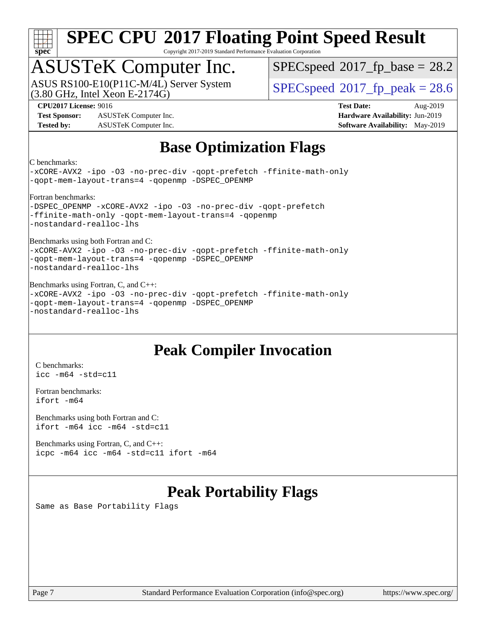

Copyright 2017-2019 Standard Performance Evaluation Corporation

## ASUSTeK Computer Inc.

(3.80 GHz, Intel Xeon E-2174G) ASUS RS100-E10(P11C-M/4L) Server System  $SPECspeed@2017$  $SPECspeed@2017$  fp\_peak = 28.6

 $SPECspeed^{\circledcirc}2017$  $SPECspeed^{\circledcirc}2017$  fp base = 28.2

**[Test Sponsor:](http://www.spec.org/auto/cpu2017/Docs/result-fields.html#TestSponsor)** ASUSTeK Computer Inc. **[Hardware Availability:](http://www.spec.org/auto/cpu2017/Docs/result-fields.html#HardwareAvailability)** Jun-2019 **[Tested by:](http://www.spec.org/auto/cpu2017/Docs/result-fields.html#Testedby)** ASUSTeK Computer Inc. **[Software Availability:](http://www.spec.org/auto/cpu2017/Docs/result-fields.html#SoftwareAvailability)** May-2019

**[CPU2017 License:](http://www.spec.org/auto/cpu2017/Docs/result-fields.html#CPU2017License)** 9016 **[Test Date:](http://www.spec.org/auto/cpu2017/Docs/result-fields.html#TestDate)** Aug-2019

### **[Base Optimization Flags](http://www.spec.org/auto/cpu2017/Docs/result-fields.html#BaseOptimizationFlags)**

[C benchmarks:](http://www.spec.org/auto/cpu2017/Docs/result-fields.html#Cbenchmarks)

[-xCORE-AVX2](http://www.spec.org/cpu2017/results/res2019q3/cpu2017-20190826-17258.flags.html#user_CCbase_f-xCORE-AVX2) [-ipo](http://www.spec.org/cpu2017/results/res2019q3/cpu2017-20190826-17258.flags.html#user_CCbase_f-ipo) [-O3](http://www.spec.org/cpu2017/results/res2019q3/cpu2017-20190826-17258.flags.html#user_CCbase_f-O3) [-no-prec-div](http://www.spec.org/cpu2017/results/res2019q3/cpu2017-20190826-17258.flags.html#user_CCbase_f-no-prec-div) [-qopt-prefetch](http://www.spec.org/cpu2017/results/res2019q3/cpu2017-20190826-17258.flags.html#user_CCbase_f-qopt-prefetch) [-ffinite-math-only](http://www.spec.org/cpu2017/results/res2019q3/cpu2017-20190826-17258.flags.html#user_CCbase_f_finite_math_only_cb91587bd2077682c4b38af759c288ed7c732db004271a9512da14a4f8007909a5f1427ecbf1a0fb78ff2a814402c6114ac565ca162485bbcae155b5e4258871) [-qopt-mem-layout-trans=4](http://www.spec.org/cpu2017/results/res2019q3/cpu2017-20190826-17258.flags.html#user_CCbase_f-qopt-mem-layout-trans_fa39e755916c150a61361b7846f310bcdf6f04e385ef281cadf3647acec3f0ae266d1a1d22d972a7087a248fd4e6ca390a3634700869573d231a252c784941a8) [-qopenmp](http://www.spec.org/cpu2017/results/res2019q3/cpu2017-20190826-17258.flags.html#user_CCbase_qopenmp_16be0c44f24f464004c6784a7acb94aca937f053568ce72f94b139a11c7c168634a55f6653758ddd83bcf7b8463e8028bb0b48b77bcddc6b78d5d95bb1df2967) [-DSPEC\\_OPENMP](http://www.spec.org/cpu2017/results/res2019q3/cpu2017-20190826-17258.flags.html#suite_CCbase_DSPEC_OPENMP) [Fortran benchmarks](http://www.spec.org/auto/cpu2017/Docs/result-fields.html#Fortranbenchmarks): -DSPEC OPENMP [-xCORE-AVX2](http://www.spec.org/cpu2017/results/res2019q3/cpu2017-20190826-17258.flags.html#user_FCbase_f-xCORE-AVX2) [-ipo](http://www.spec.org/cpu2017/results/res2019q3/cpu2017-20190826-17258.flags.html#user_FCbase_f-ipo) [-O3](http://www.spec.org/cpu2017/results/res2019q3/cpu2017-20190826-17258.flags.html#user_FCbase_f-O3) [-no-prec-div](http://www.spec.org/cpu2017/results/res2019q3/cpu2017-20190826-17258.flags.html#user_FCbase_f-no-prec-div) [-qopt-prefetch](http://www.spec.org/cpu2017/results/res2019q3/cpu2017-20190826-17258.flags.html#user_FCbase_f-qopt-prefetch) [-ffinite-math-only](http://www.spec.org/cpu2017/results/res2019q3/cpu2017-20190826-17258.flags.html#user_FCbase_f_finite_math_only_cb91587bd2077682c4b38af759c288ed7c732db004271a9512da14a4f8007909a5f1427ecbf1a0fb78ff2a814402c6114ac565ca162485bbcae155b5e4258871) [-qopt-mem-layout-trans=4](http://www.spec.org/cpu2017/results/res2019q3/cpu2017-20190826-17258.flags.html#user_FCbase_f-qopt-mem-layout-trans_fa39e755916c150a61361b7846f310bcdf6f04e385ef281cadf3647acec3f0ae266d1a1d22d972a7087a248fd4e6ca390a3634700869573d231a252c784941a8) [-qopenmp](http://www.spec.org/cpu2017/results/res2019q3/cpu2017-20190826-17258.flags.html#user_FCbase_qopenmp_16be0c44f24f464004c6784a7acb94aca937f053568ce72f94b139a11c7c168634a55f6653758ddd83bcf7b8463e8028bb0b48b77bcddc6b78d5d95bb1df2967) [-nostandard-realloc-lhs](http://www.spec.org/cpu2017/results/res2019q3/cpu2017-20190826-17258.flags.html#user_FCbase_f_2003_std_realloc_82b4557e90729c0f113870c07e44d33d6f5a304b4f63d4c15d2d0f1fab99f5daaed73bdb9275d9ae411527f28b936061aa8b9c8f2d63842963b95c9dd6426b8a) [Benchmarks using both Fortran and C:](http://www.spec.org/auto/cpu2017/Docs/result-fields.html#BenchmarksusingbothFortranandC) [-xCORE-AVX2](http://www.spec.org/cpu2017/results/res2019q3/cpu2017-20190826-17258.flags.html#user_CC_FCbase_f-xCORE-AVX2) [-ipo](http://www.spec.org/cpu2017/results/res2019q3/cpu2017-20190826-17258.flags.html#user_CC_FCbase_f-ipo) [-O3](http://www.spec.org/cpu2017/results/res2019q3/cpu2017-20190826-17258.flags.html#user_CC_FCbase_f-O3) [-no-prec-div](http://www.spec.org/cpu2017/results/res2019q3/cpu2017-20190826-17258.flags.html#user_CC_FCbase_f-no-prec-div) [-qopt-prefetch](http://www.spec.org/cpu2017/results/res2019q3/cpu2017-20190826-17258.flags.html#user_CC_FCbase_f-qopt-prefetch) [-ffinite-math-only](http://www.spec.org/cpu2017/results/res2019q3/cpu2017-20190826-17258.flags.html#user_CC_FCbase_f_finite_math_only_cb91587bd2077682c4b38af759c288ed7c732db004271a9512da14a4f8007909a5f1427ecbf1a0fb78ff2a814402c6114ac565ca162485bbcae155b5e4258871) [-qopt-mem-layout-trans=4](http://www.spec.org/cpu2017/results/res2019q3/cpu2017-20190826-17258.flags.html#user_CC_FCbase_f-qopt-mem-layout-trans_fa39e755916c150a61361b7846f310bcdf6f04e385ef281cadf3647acec3f0ae266d1a1d22d972a7087a248fd4e6ca390a3634700869573d231a252c784941a8) [-qopenmp](http://www.spec.org/cpu2017/results/res2019q3/cpu2017-20190826-17258.flags.html#user_CC_FCbase_qopenmp_16be0c44f24f464004c6784a7acb94aca937f053568ce72f94b139a11c7c168634a55f6653758ddd83bcf7b8463e8028bb0b48b77bcddc6b78d5d95bb1df2967) [-DSPEC\\_OPENMP](http://www.spec.org/cpu2017/results/res2019q3/cpu2017-20190826-17258.flags.html#suite_CC_FCbase_DSPEC_OPENMP) [-nostandard-realloc-lhs](http://www.spec.org/cpu2017/results/res2019q3/cpu2017-20190826-17258.flags.html#user_CC_FCbase_f_2003_std_realloc_82b4557e90729c0f113870c07e44d33d6f5a304b4f63d4c15d2d0f1fab99f5daaed73bdb9275d9ae411527f28b936061aa8b9c8f2d63842963b95c9dd6426b8a) [Benchmarks using Fortran, C, and C++:](http://www.spec.org/auto/cpu2017/Docs/result-fields.html#BenchmarksusingFortranCandCXX) [-xCORE-AVX2](http://www.spec.org/cpu2017/results/res2019q3/cpu2017-20190826-17258.flags.html#user_CC_CXX_FCbase_f-xCORE-AVX2) [-ipo](http://www.spec.org/cpu2017/results/res2019q3/cpu2017-20190826-17258.flags.html#user_CC_CXX_FCbase_f-ipo) [-O3](http://www.spec.org/cpu2017/results/res2019q3/cpu2017-20190826-17258.flags.html#user_CC_CXX_FCbase_f-O3) [-no-prec-div](http://www.spec.org/cpu2017/results/res2019q3/cpu2017-20190826-17258.flags.html#user_CC_CXX_FCbase_f-no-prec-div) [-qopt-prefetch](http://www.spec.org/cpu2017/results/res2019q3/cpu2017-20190826-17258.flags.html#user_CC_CXX_FCbase_f-qopt-prefetch) [-ffinite-math-only](http://www.spec.org/cpu2017/results/res2019q3/cpu2017-20190826-17258.flags.html#user_CC_CXX_FCbase_f_finite_math_only_cb91587bd2077682c4b38af759c288ed7c732db004271a9512da14a4f8007909a5f1427ecbf1a0fb78ff2a814402c6114ac565ca162485bbcae155b5e4258871) [-qopt-mem-layout-trans=4](http://www.spec.org/cpu2017/results/res2019q3/cpu2017-20190826-17258.flags.html#user_CC_CXX_FCbase_f-qopt-mem-layout-trans_fa39e755916c150a61361b7846f310bcdf6f04e385ef281cadf3647acec3f0ae266d1a1d22d972a7087a248fd4e6ca390a3634700869573d231a252c784941a8) [-qopenmp](http://www.spec.org/cpu2017/results/res2019q3/cpu2017-20190826-17258.flags.html#user_CC_CXX_FCbase_qopenmp_16be0c44f24f464004c6784a7acb94aca937f053568ce72f94b139a11c7c168634a55f6653758ddd83bcf7b8463e8028bb0b48b77bcddc6b78d5d95bb1df2967) [-DSPEC\\_OPENMP](http://www.spec.org/cpu2017/results/res2019q3/cpu2017-20190826-17258.flags.html#suite_CC_CXX_FCbase_DSPEC_OPENMP) [-nostandard-realloc-lhs](http://www.spec.org/cpu2017/results/res2019q3/cpu2017-20190826-17258.flags.html#user_CC_CXX_FCbase_f_2003_std_realloc_82b4557e90729c0f113870c07e44d33d6f5a304b4f63d4c15d2d0f1fab99f5daaed73bdb9275d9ae411527f28b936061aa8b9c8f2d63842963b95c9dd6426b8a)

### **[Peak Compiler Invocation](http://www.spec.org/auto/cpu2017/Docs/result-fields.html#PeakCompilerInvocation)**

[C benchmarks](http://www.spec.org/auto/cpu2017/Docs/result-fields.html#Cbenchmarks): [icc -m64 -std=c11](http://www.spec.org/cpu2017/results/res2019q3/cpu2017-20190826-17258.flags.html#user_CCpeak_intel_icc_64bit_c11_33ee0cdaae7deeeab2a9725423ba97205ce30f63b9926c2519791662299b76a0318f32ddfffdc46587804de3178b4f9328c46fa7c2b0cd779d7a61945c91cd35)

[Fortran benchmarks](http://www.spec.org/auto/cpu2017/Docs/result-fields.html#Fortranbenchmarks): [ifort -m64](http://www.spec.org/cpu2017/results/res2019q3/cpu2017-20190826-17258.flags.html#user_FCpeak_intel_ifort_64bit_24f2bb282fbaeffd6157abe4f878425411749daecae9a33200eee2bee2fe76f3b89351d69a8130dd5949958ce389cf37ff59a95e7a40d588e8d3a57e0c3fd751)

[Benchmarks using both Fortran and C](http://www.spec.org/auto/cpu2017/Docs/result-fields.html#BenchmarksusingbothFortranandC): [ifort -m64](http://www.spec.org/cpu2017/results/res2019q3/cpu2017-20190826-17258.flags.html#user_CC_FCpeak_intel_ifort_64bit_24f2bb282fbaeffd6157abe4f878425411749daecae9a33200eee2bee2fe76f3b89351d69a8130dd5949958ce389cf37ff59a95e7a40d588e8d3a57e0c3fd751) [icc -m64 -std=c11](http://www.spec.org/cpu2017/results/res2019q3/cpu2017-20190826-17258.flags.html#user_CC_FCpeak_intel_icc_64bit_c11_33ee0cdaae7deeeab2a9725423ba97205ce30f63b9926c2519791662299b76a0318f32ddfffdc46587804de3178b4f9328c46fa7c2b0cd779d7a61945c91cd35)

[Benchmarks using Fortran, C, and C++:](http://www.spec.org/auto/cpu2017/Docs/result-fields.html#BenchmarksusingFortranCandCXX) [icpc -m64](http://www.spec.org/cpu2017/results/res2019q3/cpu2017-20190826-17258.flags.html#user_CC_CXX_FCpeak_intel_icpc_64bit_4ecb2543ae3f1412ef961e0650ca070fec7b7afdcd6ed48761b84423119d1bf6bdf5cad15b44d48e7256388bc77273b966e5eb805aefd121eb22e9299b2ec9d9) [icc -m64 -std=c11](http://www.spec.org/cpu2017/results/res2019q3/cpu2017-20190826-17258.flags.html#user_CC_CXX_FCpeak_intel_icc_64bit_c11_33ee0cdaae7deeeab2a9725423ba97205ce30f63b9926c2519791662299b76a0318f32ddfffdc46587804de3178b4f9328c46fa7c2b0cd779d7a61945c91cd35) [ifort -m64](http://www.spec.org/cpu2017/results/res2019q3/cpu2017-20190826-17258.flags.html#user_CC_CXX_FCpeak_intel_ifort_64bit_24f2bb282fbaeffd6157abe4f878425411749daecae9a33200eee2bee2fe76f3b89351d69a8130dd5949958ce389cf37ff59a95e7a40d588e8d3a57e0c3fd751)

### **[Peak Portability Flags](http://www.spec.org/auto/cpu2017/Docs/result-fields.html#PeakPortabilityFlags)**

Same as Base Portability Flags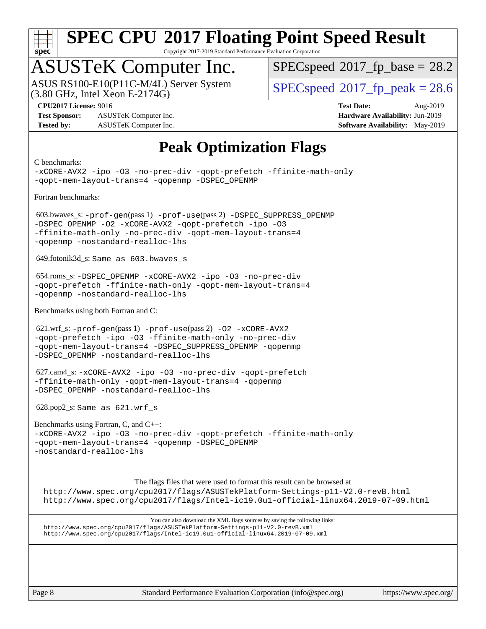

Copyright 2017-2019 Standard Performance Evaluation Corporation

## ASUSTeK Computer Inc.

 $(3.80 \text{ GHz}, \text{Intel Xeon E-2174G})$ ASUS RS100-E10(P11C-M/4L) Server System  $SPECspeed@2017$  $SPECspeed@2017$  fp\_peak = 28.6

 $SPECspeed*2017_fp\_base = 28.2$  $SPECspeed*2017_fp\_base = 28.2$ 

**[Test Sponsor:](http://www.spec.org/auto/cpu2017/Docs/result-fields.html#TestSponsor)** ASUSTeK Computer Inc. **[Hardware Availability:](http://www.spec.org/auto/cpu2017/Docs/result-fields.html#HardwareAvailability)** Jun-2019 **[Tested by:](http://www.spec.org/auto/cpu2017/Docs/result-fields.html#Testedby)** ASUSTeK Computer Inc. **[Software Availability:](http://www.spec.org/auto/cpu2017/Docs/result-fields.html#SoftwareAvailability)** May-2019

**[CPU2017 License:](http://www.spec.org/auto/cpu2017/Docs/result-fields.html#CPU2017License)** 9016 **[Test Date:](http://www.spec.org/auto/cpu2017/Docs/result-fields.html#TestDate)** Aug-2019

### **[Peak Optimization Flags](http://www.spec.org/auto/cpu2017/Docs/result-fields.html#PeakOptimizationFlags)**

[C benchmarks:](http://www.spec.org/auto/cpu2017/Docs/result-fields.html#Cbenchmarks) [-xCORE-AVX2](http://www.spec.org/cpu2017/results/res2019q3/cpu2017-20190826-17258.flags.html#user_CCpeak_f-xCORE-AVX2) [-ipo](http://www.spec.org/cpu2017/results/res2019q3/cpu2017-20190826-17258.flags.html#user_CCpeak_f-ipo) [-O3](http://www.spec.org/cpu2017/results/res2019q3/cpu2017-20190826-17258.flags.html#user_CCpeak_f-O3) [-no-prec-div](http://www.spec.org/cpu2017/results/res2019q3/cpu2017-20190826-17258.flags.html#user_CCpeak_f-no-prec-div) [-qopt-prefetch](http://www.spec.org/cpu2017/results/res2019q3/cpu2017-20190826-17258.flags.html#user_CCpeak_f-qopt-prefetch) [-ffinite-math-only](http://www.spec.org/cpu2017/results/res2019q3/cpu2017-20190826-17258.flags.html#user_CCpeak_f_finite_math_only_cb91587bd2077682c4b38af759c288ed7c732db004271a9512da14a4f8007909a5f1427ecbf1a0fb78ff2a814402c6114ac565ca162485bbcae155b5e4258871) [-qopt-mem-layout-trans=4](http://www.spec.org/cpu2017/results/res2019q3/cpu2017-20190826-17258.flags.html#user_CCpeak_f-qopt-mem-layout-trans_fa39e755916c150a61361b7846f310bcdf6f04e385ef281cadf3647acec3f0ae266d1a1d22d972a7087a248fd4e6ca390a3634700869573d231a252c784941a8) [-qopenmp](http://www.spec.org/cpu2017/results/res2019q3/cpu2017-20190826-17258.flags.html#user_CCpeak_qopenmp_16be0c44f24f464004c6784a7acb94aca937f053568ce72f94b139a11c7c168634a55f6653758ddd83bcf7b8463e8028bb0b48b77bcddc6b78d5d95bb1df2967) [-DSPEC\\_OPENMP](http://www.spec.org/cpu2017/results/res2019q3/cpu2017-20190826-17258.flags.html#suite_CCpeak_DSPEC_OPENMP) [Fortran benchmarks](http://www.spec.org/auto/cpu2017/Docs/result-fields.html#Fortranbenchmarks): 603.bwaves\_s: [-prof-gen](http://www.spec.org/cpu2017/results/res2019q3/cpu2017-20190826-17258.flags.html#user_peakPASS1_FFLAGSPASS1_LDFLAGS603_bwaves_s_prof_gen_5aa4926d6013ddb2a31985c654b3eb18169fc0c6952a63635c234f711e6e63dd76e94ad52365559451ec499a2cdb89e4dc58ba4c67ef54ca681ffbe1461d6b36)(pass 1) [-prof-use](http://www.spec.org/cpu2017/results/res2019q3/cpu2017-20190826-17258.flags.html#user_peakPASS2_FFLAGSPASS2_LDFLAGS603_bwaves_s_prof_use_1a21ceae95f36a2b53c25747139a6c16ca95bd9def2a207b4f0849963b97e94f5260e30a0c64f4bb623698870e679ca08317ef8150905d41bd88c6f78df73f19)(pass 2) [-DSPEC\\_SUPPRESS\\_OPENMP](http://www.spec.org/cpu2017/results/res2019q3/cpu2017-20190826-17258.flags.html#suite_peakPASS1_FOPTIMIZE603_bwaves_s_DSPEC_SUPPRESS_OPENMP) [-DSPEC\\_OPENMP](http://www.spec.org/cpu2017/results/res2019q3/cpu2017-20190826-17258.flags.html#suite_peakPASS2_FOPTIMIZE603_bwaves_s_DSPEC_OPENMP) [-O2](http://www.spec.org/cpu2017/results/res2019q3/cpu2017-20190826-17258.flags.html#user_peakPASS1_FOPTIMIZE603_bwaves_s_f-O2) [-xCORE-AVX2](http://www.spec.org/cpu2017/results/res2019q3/cpu2017-20190826-17258.flags.html#user_peakPASS2_FOPTIMIZE603_bwaves_s_f-xCORE-AVX2) [-qopt-prefetch](http://www.spec.org/cpu2017/results/res2019q3/cpu2017-20190826-17258.flags.html#user_peakPASS1_FOPTIMIZEPASS2_FOPTIMIZE603_bwaves_s_f-qopt-prefetch) [-ipo](http://www.spec.org/cpu2017/results/res2019q3/cpu2017-20190826-17258.flags.html#user_peakPASS2_FOPTIMIZE603_bwaves_s_f-ipo) [-O3](http://www.spec.org/cpu2017/results/res2019q3/cpu2017-20190826-17258.flags.html#user_peakPASS2_FOPTIMIZE603_bwaves_s_f-O3) [-ffinite-math-only](http://www.spec.org/cpu2017/results/res2019q3/cpu2017-20190826-17258.flags.html#user_peakPASS1_FOPTIMIZEPASS2_FOPTIMIZE603_bwaves_s_f_finite_math_only_cb91587bd2077682c4b38af759c288ed7c732db004271a9512da14a4f8007909a5f1427ecbf1a0fb78ff2a814402c6114ac565ca162485bbcae155b5e4258871) [-no-prec-div](http://www.spec.org/cpu2017/results/res2019q3/cpu2017-20190826-17258.flags.html#user_peakPASS2_FOPTIMIZE603_bwaves_s_f-no-prec-div) [-qopt-mem-layout-trans=4](http://www.spec.org/cpu2017/results/res2019q3/cpu2017-20190826-17258.flags.html#user_peakPASS1_FOPTIMIZEPASS2_FOPTIMIZE603_bwaves_s_f-qopt-mem-layout-trans_fa39e755916c150a61361b7846f310bcdf6f04e385ef281cadf3647acec3f0ae266d1a1d22d972a7087a248fd4e6ca390a3634700869573d231a252c784941a8) [-qopenmp](http://www.spec.org/cpu2017/results/res2019q3/cpu2017-20190826-17258.flags.html#user_peakPASS2_FOPTIMIZE603_bwaves_s_qopenmp_16be0c44f24f464004c6784a7acb94aca937f053568ce72f94b139a11c7c168634a55f6653758ddd83bcf7b8463e8028bb0b48b77bcddc6b78d5d95bb1df2967) [-nostandard-realloc-lhs](http://www.spec.org/cpu2017/results/res2019q3/cpu2017-20190826-17258.flags.html#user_peakEXTRA_FOPTIMIZE603_bwaves_s_f_2003_std_realloc_82b4557e90729c0f113870c07e44d33d6f5a304b4f63d4c15d2d0f1fab99f5daaed73bdb9275d9ae411527f28b936061aa8b9c8f2d63842963b95c9dd6426b8a) 649.fotonik3d\_s: Same as 603.bwaves\_s 654.roms\_s: [-DSPEC\\_OPENMP](http://www.spec.org/cpu2017/results/res2019q3/cpu2017-20190826-17258.flags.html#suite_peakFOPTIMIZE654_roms_s_DSPEC_OPENMP) [-xCORE-AVX2](http://www.spec.org/cpu2017/results/res2019q3/cpu2017-20190826-17258.flags.html#user_peakFOPTIMIZE654_roms_s_f-xCORE-AVX2) [-ipo](http://www.spec.org/cpu2017/results/res2019q3/cpu2017-20190826-17258.flags.html#user_peakFOPTIMIZE654_roms_s_f-ipo) [-O3](http://www.spec.org/cpu2017/results/res2019q3/cpu2017-20190826-17258.flags.html#user_peakFOPTIMIZE654_roms_s_f-O3) [-no-prec-div](http://www.spec.org/cpu2017/results/res2019q3/cpu2017-20190826-17258.flags.html#user_peakFOPTIMIZE654_roms_s_f-no-prec-div) [-qopt-prefetch](http://www.spec.org/cpu2017/results/res2019q3/cpu2017-20190826-17258.flags.html#user_peakFOPTIMIZE654_roms_s_f-qopt-prefetch) [-ffinite-math-only](http://www.spec.org/cpu2017/results/res2019q3/cpu2017-20190826-17258.flags.html#user_peakFOPTIMIZE654_roms_s_f_finite_math_only_cb91587bd2077682c4b38af759c288ed7c732db004271a9512da14a4f8007909a5f1427ecbf1a0fb78ff2a814402c6114ac565ca162485bbcae155b5e4258871) [-qopt-mem-layout-trans=4](http://www.spec.org/cpu2017/results/res2019q3/cpu2017-20190826-17258.flags.html#user_peakFOPTIMIZE654_roms_s_f-qopt-mem-layout-trans_fa39e755916c150a61361b7846f310bcdf6f04e385ef281cadf3647acec3f0ae266d1a1d22d972a7087a248fd4e6ca390a3634700869573d231a252c784941a8) [-qopenmp](http://www.spec.org/cpu2017/results/res2019q3/cpu2017-20190826-17258.flags.html#user_peakFOPTIMIZE654_roms_s_qopenmp_16be0c44f24f464004c6784a7acb94aca937f053568ce72f94b139a11c7c168634a55f6653758ddd83bcf7b8463e8028bb0b48b77bcddc6b78d5d95bb1df2967) [-nostandard-realloc-lhs](http://www.spec.org/cpu2017/results/res2019q3/cpu2017-20190826-17258.flags.html#user_peakEXTRA_FOPTIMIZE654_roms_s_f_2003_std_realloc_82b4557e90729c0f113870c07e44d33d6f5a304b4f63d4c15d2d0f1fab99f5daaed73bdb9275d9ae411527f28b936061aa8b9c8f2d63842963b95c9dd6426b8a) [Benchmarks using both Fortran and C:](http://www.spec.org/auto/cpu2017/Docs/result-fields.html#BenchmarksusingbothFortranandC) 621.wrf\_s: [-prof-gen](http://www.spec.org/cpu2017/results/res2019q3/cpu2017-20190826-17258.flags.html#user_peakPASS1_CFLAGSPASS1_FFLAGSPASS1_LDFLAGS621_wrf_s_prof_gen_5aa4926d6013ddb2a31985c654b3eb18169fc0c6952a63635c234f711e6e63dd76e94ad52365559451ec499a2cdb89e4dc58ba4c67ef54ca681ffbe1461d6b36)(pass 1) [-prof-use](http://www.spec.org/cpu2017/results/res2019q3/cpu2017-20190826-17258.flags.html#user_peakPASS2_CFLAGSPASS2_FFLAGSPASS2_LDFLAGS621_wrf_s_prof_use_1a21ceae95f36a2b53c25747139a6c16ca95bd9def2a207b4f0849963b97e94f5260e30a0c64f4bb623698870e679ca08317ef8150905d41bd88c6f78df73f19)(pass 2) [-O2](http://www.spec.org/cpu2017/results/res2019q3/cpu2017-20190826-17258.flags.html#user_peakPASS1_COPTIMIZEPASS1_FOPTIMIZE621_wrf_s_f-O2) [-xCORE-AVX2](http://www.spec.org/cpu2017/results/res2019q3/cpu2017-20190826-17258.flags.html#user_peakPASS2_COPTIMIZEPASS2_FOPTIMIZE621_wrf_s_f-xCORE-AVX2) [-qopt-prefetch](http://www.spec.org/cpu2017/results/res2019q3/cpu2017-20190826-17258.flags.html#user_peakPASS1_COPTIMIZEPASS1_FOPTIMIZEPASS2_COPTIMIZEPASS2_FOPTIMIZE621_wrf_s_f-qopt-prefetch) [-ipo](http://www.spec.org/cpu2017/results/res2019q3/cpu2017-20190826-17258.flags.html#user_peakPASS2_COPTIMIZEPASS2_FOPTIMIZE621_wrf_s_f-ipo) [-O3](http://www.spec.org/cpu2017/results/res2019q3/cpu2017-20190826-17258.flags.html#user_peakPASS2_COPTIMIZEPASS2_FOPTIMIZE621_wrf_s_f-O3) [-ffinite-math-only](http://www.spec.org/cpu2017/results/res2019q3/cpu2017-20190826-17258.flags.html#user_peakPASS1_COPTIMIZEPASS1_FOPTIMIZEPASS2_COPTIMIZEPASS2_FOPTIMIZE621_wrf_s_f_finite_math_only_cb91587bd2077682c4b38af759c288ed7c732db004271a9512da14a4f8007909a5f1427ecbf1a0fb78ff2a814402c6114ac565ca162485bbcae155b5e4258871) [-no-prec-div](http://www.spec.org/cpu2017/results/res2019q3/cpu2017-20190826-17258.flags.html#user_peakPASS2_COPTIMIZEPASS2_FOPTIMIZE621_wrf_s_f-no-prec-div) [-qopt-mem-layout-trans=4](http://www.spec.org/cpu2017/results/res2019q3/cpu2017-20190826-17258.flags.html#user_peakPASS1_COPTIMIZEPASS1_FOPTIMIZEPASS2_COPTIMIZEPASS2_FOPTIMIZE621_wrf_s_f-qopt-mem-layout-trans_fa39e755916c150a61361b7846f310bcdf6f04e385ef281cadf3647acec3f0ae266d1a1d22d972a7087a248fd4e6ca390a3634700869573d231a252c784941a8) [-DSPEC\\_SUPPRESS\\_OPENMP](http://www.spec.org/cpu2017/results/res2019q3/cpu2017-20190826-17258.flags.html#suite_peakPASS1_COPTIMIZEPASS1_FOPTIMIZE621_wrf_s_DSPEC_SUPPRESS_OPENMP) [-qopenmp](http://www.spec.org/cpu2017/results/res2019q3/cpu2017-20190826-17258.flags.html#user_peakPASS2_COPTIMIZEPASS2_FOPTIMIZE621_wrf_s_qopenmp_16be0c44f24f464004c6784a7acb94aca937f053568ce72f94b139a11c7c168634a55f6653758ddd83bcf7b8463e8028bb0b48b77bcddc6b78d5d95bb1df2967) [-DSPEC\\_OPENMP](http://www.spec.org/cpu2017/results/res2019q3/cpu2017-20190826-17258.flags.html#suite_peakPASS2_COPTIMIZEPASS2_FOPTIMIZE621_wrf_s_DSPEC_OPENMP) [-nostandard-realloc-lhs](http://www.spec.org/cpu2017/results/res2019q3/cpu2017-20190826-17258.flags.html#user_peakEXTRA_FOPTIMIZE621_wrf_s_f_2003_std_realloc_82b4557e90729c0f113870c07e44d33d6f5a304b4f63d4c15d2d0f1fab99f5daaed73bdb9275d9ae411527f28b936061aa8b9c8f2d63842963b95c9dd6426b8a) 627.cam4\_s: [-xCORE-AVX2](http://www.spec.org/cpu2017/results/res2019q3/cpu2017-20190826-17258.flags.html#user_peakCOPTIMIZEFOPTIMIZE627_cam4_s_f-xCORE-AVX2) [-ipo](http://www.spec.org/cpu2017/results/res2019q3/cpu2017-20190826-17258.flags.html#user_peakCOPTIMIZEFOPTIMIZE627_cam4_s_f-ipo) [-O3](http://www.spec.org/cpu2017/results/res2019q3/cpu2017-20190826-17258.flags.html#user_peakCOPTIMIZEFOPTIMIZE627_cam4_s_f-O3) [-no-prec-div](http://www.spec.org/cpu2017/results/res2019q3/cpu2017-20190826-17258.flags.html#user_peakCOPTIMIZEFOPTIMIZE627_cam4_s_f-no-prec-div) [-qopt-prefetch](http://www.spec.org/cpu2017/results/res2019q3/cpu2017-20190826-17258.flags.html#user_peakCOPTIMIZEFOPTIMIZE627_cam4_s_f-qopt-prefetch) [-ffinite-math-only](http://www.spec.org/cpu2017/results/res2019q3/cpu2017-20190826-17258.flags.html#user_peakCOPTIMIZEFOPTIMIZE627_cam4_s_f_finite_math_only_cb91587bd2077682c4b38af759c288ed7c732db004271a9512da14a4f8007909a5f1427ecbf1a0fb78ff2a814402c6114ac565ca162485bbcae155b5e4258871) [-qopt-mem-layout-trans=4](http://www.spec.org/cpu2017/results/res2019q3/cpu2017-20190826-17258.flags.html#user_peakCOPTIMIZEFOPTIMIZE627_cam4_s_f-qopt-mem-layout-trans_fa39e755916c150a61361b7846f310bcdf6f04e385ef281cadf3647acec3f0ae266d1a1d22d972a7087a248fd4e6ca390a3634700869573d231a252c784941a8) [-qopenmp](http://www.spec.org/cpu2017/results/res2019q3/cpu2017-20190826-17258.flags.html#user_peakCOPTIMIZEFOPTIMIZE627_cam4_s_qopenmp_16be0c44f24f464004c6784a7acb94aca937f053568ce72f94b139a11c7c168634a55f6653758ddd83bcf7b8463e8028bb0b48b77bcddc6b78d5d95bb1df2967) [-DSPEC\\_OPENMP](http://www.spec.org/cpu2017/results/res2019q3/cpu2017-20190826-17258.flags.html#suite_peakCOPTIMIZEFOPTIMIZE627_cam4_s_DSPEC_OPENMP) [-nostandard-realloc-lhs](http://www.spec.org/cpu2017/results/res2019q3/cpu2017-20190826-17258.flags.html#user_peakEXTRA_FOPTIMIZE627_cam4_s_f_2003_std_realloc_82b4557e90729c0f113870c07e44d33d6f5a304b4f63d4c15d2d0f1fab99f5daaed73bdb9275d9ae411527f28b936061aa8b9c8f2d63842963b95c9dd6426b8a) 628.pop2\_s: Same as 621.wrf\_s [Benchmarks using Fortran, C, and C++:](http://www.spec.org/auto/cpu2017/Docs/result-fields.html#BenchmarksusingFortranCandCXX) [-xCORE-AVX2](http://www.spec.org/cpu2017/results/res2019q3/cpu2017-20190826-17258.flags.html#user_CC_CXX_FCpeak_f-xCORE-AVX2) [-ipo](http://www.spec.org/cpu2017/results/res2019q3/cpu2017-20190826-17258.flags.html#user_CC_CXX_FCpeak_f-ipo) [-O3](http://www.spec.org/cpu2017/results/res2019q3/cpu2017-20190826-17258.flags.html#user_CC_CXX_FCpeak_f-O3) [-no-prec-div](http://www.spec.org/cpu2017/results/res2019q3/cpu2017-20190826-17258.flags.html#user_CC_CXX_FCpeak_f-no-prec-div) [-qopt-prefetch](http://www.spec.org/cpu2017/results/res2019q3/cpu2017-20190826-17258.flags.html#user_CC_CXX_FCpeak_f-qopt-prefetch) [-ffinite-math-only](http://www.spec.org/cpu2017/results/res2019q3/cpu2017-20190826-17258.flags.html#user_CC_CXX_FCpeak_f_finite_math_only_cb91587bd2077682c4b38af759c288ed7c732db004271a9512da14a4f8007909a5f1427ecbf1a0fb78ff2a814402c6114ac565ca162485bbcae155b5e4258871) [-qopt-mem-layout-trans=4](http://www.spec.org/cpu2017/results/res2019q3/cpu2017-20190826-17258.flags.html#user_CC_CXX_FCpeak_f-qopt-mem-layout-trans_fa39e755916c150a61361b7846f310bcdf6f04e385ef281cadf3647acec3f0ae266d1a1d22d972a7087a248fd4e6ca390a3634700869573d231a252c784941a8) [-qopenmp](http://www.spec.org/cpu2017/results/res2019q3/cpu2017-20190826-17258.flags.html#user_CC_CXX_FCpeak_qopenmp_16be0c44f24f464004c6784a7acb94aca937f053568ce72f94b139a11c7c168634a55f6653758ddd83bcf7b8463e8028bb0b48b77bcddc6b78d5d95bb1df2967) [-DSPEC\\_OPENMP](http://www.spec.org/cpu2017/results/res2019q3/cpu2017-20190826-17258.flags.html#suite_CC_CXX_FCpeak_DSPEC_OPENMP) [-nostandard-realloc-lhs](http://www.spec.org/cpu2017/results/res2019q3/cpu2017-20190826-17258.flags.html#user_CC_CXX_FCpeak_f_2003_std_realloc_82b4557e90729c0f113870c07e44d33d6f5a304b4f63d4c15d2d0f1fab99f5daaed73bdb9275d9ae411527f28b936061aa8b9c8f2d63842963b95c9dd6426b8a) [The flags files that were used to format this result can be browsed at](tmsearch) <http://www.spec.org/cpu2017/flags/ASUSTekPlatform-Settings-p11-V2.0-revB.html> <http://www.spec.org/cpu2017/flags/Intel-ic19.0u1-official-linux64.2019-07-09.html> [You can also download the XML flags sources by saving the following links:](tmsearch) <http://www.spec.org/cpu2017/flags/ASUSTekPlatform-Settings-p11-V2.0-revB.xml> <http://www.spec.org/cpu2017/flags/Intel-ic19.0u1-official-linux64.2019-07-09.xml>